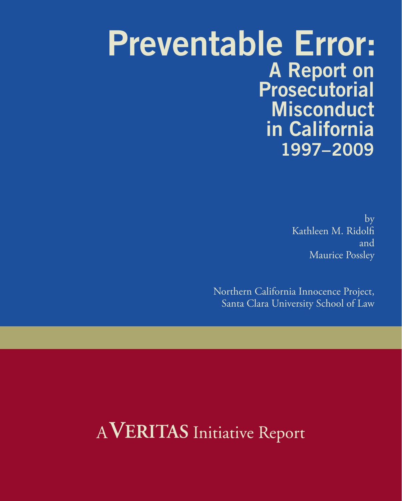# **Preventable Error: A Report on Prosecutorial Misconduct in California 1997–2009**

by Kathleen M. Ridolfi and Maurice Possley

Northern California Innocence Project, Santa Clara University School of Law

# AVERITAS Initiative Report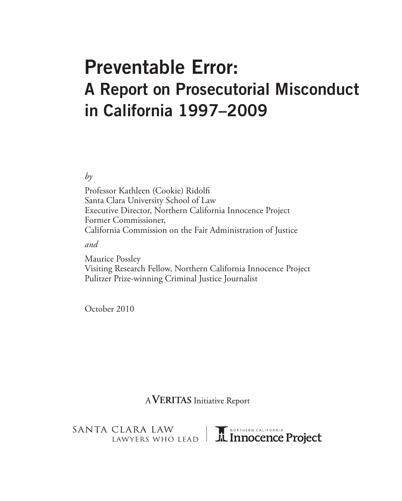# **Preventable Error: A Report on Prosecutorial Misconduct in California 1997–2009**

*by*

Professor Kathleen (Cookie) Ridolfi Santa Clara University School of Law Executive Director, Northern California Innocence Project Former Commissioner, California Commission on the Fair Administration of Justice

*and*

Maurice Possley Visiting Research Fellow, Northern California Innocence Project Pulitzer Prize-winning Criminal Justice Journalist

October 2010

AVERITAS Initiative Report

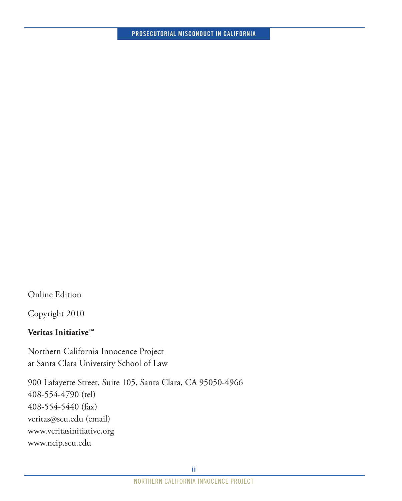Online Edition

Copyright 2010

## **Veritas Initiative™**

Northern California Innocence Project at Santa Clara University School of Law

900 Lafayette Street, Suite 105, Santa Clara, CA 95050-4966 408-554-4790 (tel) 408-554-5440 (fax) veritas@scu.edu (email) www.veritasinitiative.org www.ncip.scu.edu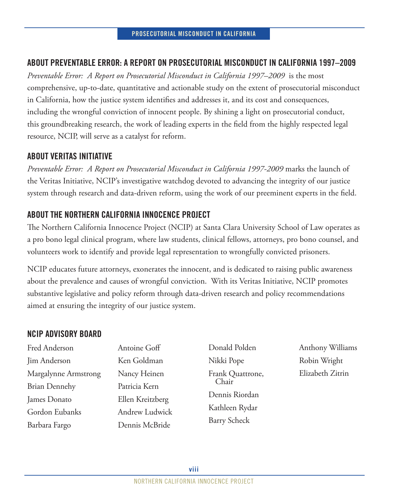## **ABOUT PREVENTABLE ERROR: A REPORT ON PROSECUTORIAL MISCONDUCT IN CALIFORNIA 1997–2009**

*Preventable Error: A Report on Prosecutorial Misconduct in California 1997–2009* is the most comprehensive, up-to-date, quantitative and actionable study on the extent of prosecutorial misconduct in California, how the justice system identifies and addresses it, and its cost and consequences, including the wrongful conviction of innocent people. By shining a light on prosecutorial conduct, this groundbreaking research, the work of leading experts in the field from the highly respected legal resource, NCIP, will serve as a catalyst for reform.

## **ABOUT VERITAS INITIATIVE**

*Preventable Error: A Report on Prosecutorial Misconduct in California 1997-2009* marks the launch of the Veritas Initiative, NCIP's investigative watchdog devoted to advancing the integrity of our justice system through research and data-driven reform, using the work of our preeminent experts in the field.

## **ABOUT THE NORTHERN CALIFORNIA INNOCENCE PROJECT**

The Northern California Innocence Project (NCIP) at Santa Clara University School of Law operates as a pro bono legal clinical program, where law students, clinical fellows, attorneys, pro bono counsel, and volunteers work to identify and provide legal representation to wrongfully convicted prisoners.

NCIP educates future attorneys, exonerates the innocent, and is dedicated to raising public awareness about the prevalence and causes of wrongful conviction. With its Veritas Initiative, NCIP promotes substantive legislative and policy reform through data-driven research and policy recommendations aimed at ensuring the integrity of our justice system.

## **NCIP ADVISORY BOARD**

| Fred Anderson        | Antoine Goff     |
|----------------------|------------------|
| Jim Anderson         | Ken Goldman      |
| Margalynne Armstrong | Nancy Heinen     |
| <b>Brian Dennehy</b> | Patricia Kern    |
| James Donato         | Ellen Kreitzberg |
| Gordon Eubanks       | Andrew Ludwick   |
| Barbara Fargo        | Dennis McBride   |

Donald Polden Nikki Pope Frank Quattrone, Chair Dennis Riordan Kathleen Rydar Barry Scheck

Anthony Williams Robin Wright Elizabeth Zitrin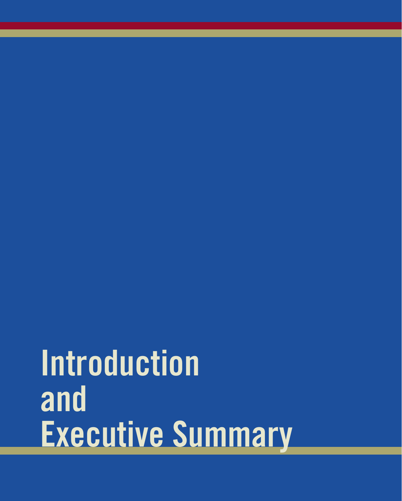# **Introduction and Executive Summary**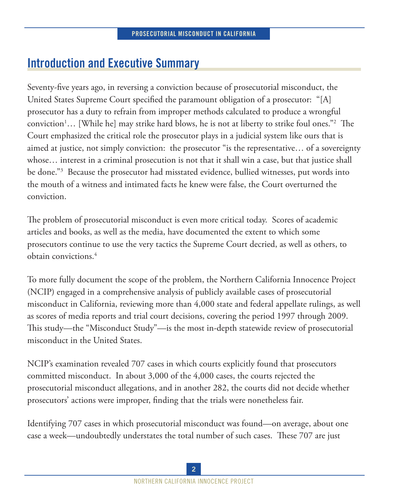# **Introduction and Executive Summary**

Seventy-five years ago, in reversing a conviction because of prosecutorial misconduct, the United States Supreme Court specified the paramount obligation of a prosecutor: "[A] prosecutor has a duty to refrain from improper methods calculated to produce a wrongful conviction<sup>1</sup>... [While he] may strike hard blows, he is not at liberty to strike foul ones."<sup>2</sup> The Court emphasized the critical role the prosecutor plays in a judicial system like ours that is aimed at justice, not simply conviction: the prosecutor "is the representative… of a sovereignty whose… interest in a criminal prosecution is not that it shall win a case, but that justice shall be done."3 Because the prosecutor had misstated evidence, bullied witnesses, put words into the mouth of a witness and intimated facts he knew were false, the Court overturned the conviction.

The problem of prosecutorial misconduct is even more critical today. Scores of academic articles and books, as well as the media, have documented the extent to which some prosecutors continue to use the very tactics the Supreme Court decried, as well as others, to obtain convictions.4

To more fully document the scope of the problem, the Northern California Innocence Project (NCIP) engaged in a comprehensive analysis of publicly available cases of prosecutorial misconduct in California, reviewing more than 4,000 state and federal appellate rulings, as well as scores of media reports and trial court decisions, covering the period 1997 through 2009. This study—the "Misconduct Study"—is the most in-depth statewide review of prosecutorial misconduct in the United States.

NCIP's examination revealed 707 cases in which courts explicitly found that prosecutors committed misconduct. In about 3,000 of the 4,000 cases, the courts rejected the prosecutorial misconduct allegations, and in another 282, the courts did not decide whether prosecutors' actions were improper, finding that the trials were nonetheless fair.

Identifying 707 cases in which prosecutorial misconduct was found—on average, about one case a week—undoubtedly understates the total number of such cases. These 707 are just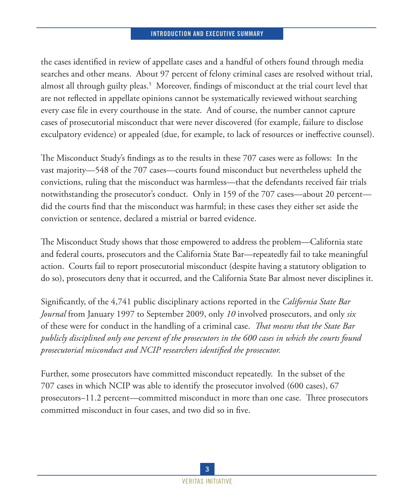#### **INTRODUCTION AND EXECUTIVE SUMMARY**

the cases identified in review of appellate cases and a handful of others found through media searches and other means. About 97 percent of felony criminal cases are resolved without trial, almost all through guilty pleas.<sup>5</sup> Moreover, findings of misconduct at the trial court level that are not reflected in appellate opinions cannot be systematically reviewed without searching every case file in every courthouse in the state. And of course, the number cannot capture cases of prosecutorial misconduct that were never discovered (for example, failure to disclose exculpatory evidence) or appealed (due, for example, to lack of resources or ineffective counsel).

The Misconduct Study's findings as to the results in these 707 cases were as follows: In the vast majority—548 of the 707 cases—courts found misconduct but nevertheless upheld the convictions, ruling that the misconduct was harmless—that the defendants received fair trials notwithstanding the prosecutor's conduct. Only in 159 of the 707 cases—about 20 percent did the courts find that the misconduct was harmful; in these cases they either set aside the conviction or sentence, declared a mistrial or barred evidence.

The Misconduct Study shows that those empowered to address the problem—California state and federal courts, prosecutors and the California State Bar—repeatedly fail to take meaningful action. Courts fail to report prosecutorial misconduct (despite having a statutory obligation to do so), prosecutors deny that it occurred, and the California State Bar almost never disciplines it.

Significantly, of the 4,741 public disciplinary actions reported in the *California State Bar Journal* from January 1997 to September 2009, only *10* involved prosecutors, and only *six* of these were for conduct in the handling of a criminal case. *That means that the State Bar publicly disciplined only one percent of the prosecutors in the 600 cases in which the courts found prosecutorial misconduct and NCIP researchers identified the prosecutor.*

Further, some prosecutors have committed misconduct repeatedly. In the subset of the 707 cases in which NCIP was able to identify the prosecutor involved (600 cases), 67 prosecutors–11.2 percent—committed misconduct in more than one case. Three prosecutors committed misconduct in four cases, and two did so in five.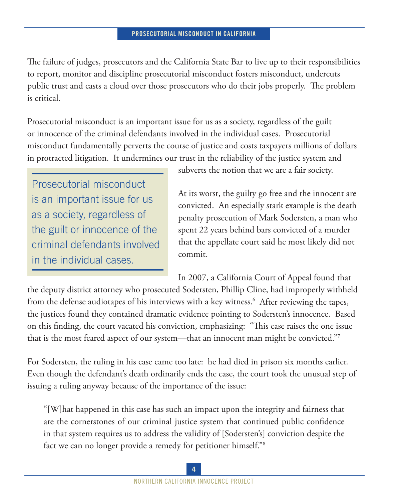The failure of judges, prosecutors and the California State Bar to live up to their responsibilities to report, monitor and discipline prosecutorial misconduct fosters misconduct, undercuts public trust and casts a cloud over those prosecutors who do their jobs properly. The problem is critical.

Prosecutorial misconduct is an important issue for us as a society, regardless of the guilt or innocence of the criminal defendants involved in the individual cases. Prosecutorial misconduct fundamentally perverts the course of justice and costs taxpayers millions of dollars in protracted litigation.It undermines our trust in the reliability of the justice system and

Prosecutorial misconduct is an important issue for us as a society, regardless of the guilt or innocence of the criminal defendants involved in the individual cases.

subverts the notion that we are a fair society.

At its worst, the guilty go free and the innocent are convicted. An especially stark example is the death penalty prosecution of Mark Sodersten, a man who spent 22 years behind bars convicted of a murder that the appellate court said he most likely did not commit.

In 2007, a California Court of Appeal found that

the deputy district attorney who prosecuted Sodersten, Phillip Cline, had improperly withheld from the defense audiotapes of his interviews with a key witness.<sup>6</sup> After reviewing the tapes, the justices found they contained dramatic evidence pointing to Sodersten's innocence. Based on this finding, the court vacated his conviction, emphasizing: "This case raises the one issue that is the most feared aspect of our system—that an innocent man might be convicted."7

For Sodersten, the ruling in his case came too late: he had died in prison six months earlier. Even though the defendant's death ordinarily ends the case, the court took the unusual step of issuing a ruling anyway because of the importance of the issue:

"[W]hat happened in this case has such an impact upon the integrity and fairness that are the cornerstones of our criminal justice system that continued public confidence in that system requires us to address the validity of [Sodersten's] conviction despite the fact we can no longer provide a remedy for petitioner himself."8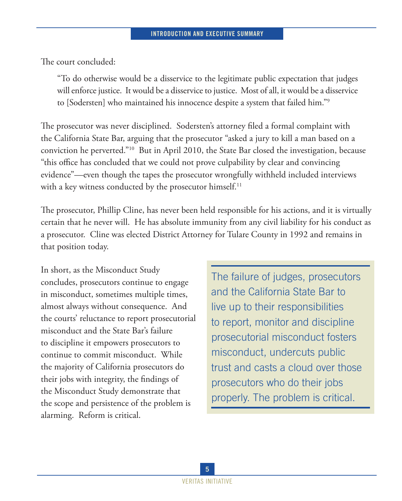The court concluded:

"To do otherwise would be a disservice to the legitimate public expectation that judges will enforce justice. It would be a disservice to justice. Most of all, it would be a disservice to [Sodersten] who maintained his innocence despite a system that failed him."9

The prosecutor was never disciplined. Sodersten's attorney filed a formal complaint with the California State Bar, arguing that the prosecutor "asked a jury to kill a man based on a conviction he perverted."10 But in April 2010, the State Bar closed the investigation, because "this office has concluded that we could not prove culpability by clear and convincing evidence"—even though the tapes the prosecutor wrongfully withheld included interviews with a key witness conducted by the prosecutor himself.<sup>11</sup>

The prosecutor, Phillip Cline, has never been held responsible for his actions, and it is virtually certain that he never will. He has absolute immunity from any civil liability for his conduct as a prosecutor. Cline was elected District Attorney for Tulare County in 1992 and remains in that position today.

In short, as the Misconduct Study concludes, prosecutors continue to engage in misconduct, sometimes multiple times, almost always without consequence. And the courts' reluctance to report prosecutorial misconduct and the State Bar's failure to discipline it empowers prosecutors to continue to commit misconduct. While the majority of California prosecutors do their jobs with integrity, the findings of the Misconduct Study demonstrate that the scope and persistence of the problem is alarming. Reform is critical.

The failure of judges, prosecutors and the California State Bar to live up to their responsibilities to report, monitor and discipline prosecutorial misconduct fosters misconduct, undercuts public trust and casts a cloud over those prosecutors who do their jobs properly. The problem is critical.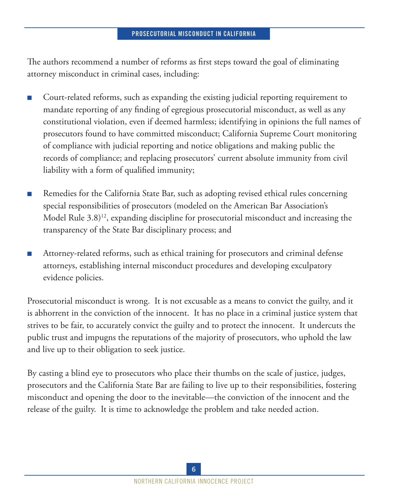The authors recommend a number of reforms as first steps toward the goal of eliminating attorney misconduct in criminal cases, including:

- Court-related reforms, such as expanding the existing judicial reporting requirement to mandate reporting of any finding of egregious prosecutorial misconduct, as well as any constitutional violation, even if deemed harmless; identifying in opinions the full names of prosecutors found to have committed misconduct; California Supreme Court monitoring of compliance with judicial reporting and notice obligations and making public the records of compliance; and replacing prosecutors' current absolute immunity from civil liability with a form of qualified immunity;
- Remedies for the California State Bar, such as adopting revised ethical rules concerning special responsibilities of prosecutors (modeled on the American Bar Association's Model Rule  $(3.8)^{12}$ , expanding discipline for prosecutorial misconduct and increasing the transparency of the State Bar disciplinary process; and
- Attorney-related reforms, such as ethical training for prosecutors and criminal defense attorneys, establishing internal misconduct procedures and developing exculpatory evidence policies.

Prosecutorial misconduct is wrong. It is not excusable as a means to convict the guilty, and it is abhorrent in the conviction of the innocent. It has no place in a criminal justice system that strives to be fair, to accurately convict the guilty and to protect the innocent. It undercuts the public trust and impugns the reputations of the majority of prosecutors, who uphold the law and live up to their obligation to seek justice.

By casting a blind eye to prosecutors who place their thumbs on the scale of justice, judges, prosecutors and the California State Bar are failing to live up to their responsibilities, fostering misconduct and opening the door to the inevitable—the conviction of the innocent and the release of the guilty. It is time to acknowledge the problem and take needed action.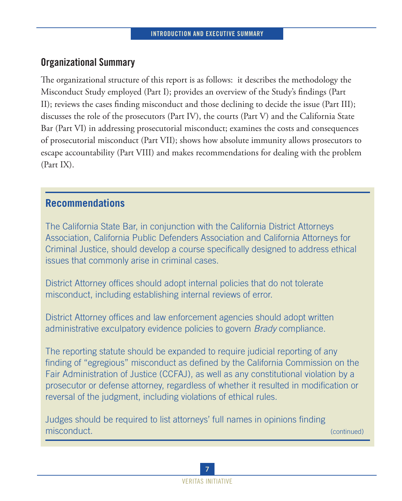# **Organizational Summary**

The organizational structure of this report is as follows: it describes the methodology the Misconduct Study employed (Part I); provides an overview of the Study's findings (Part II); reviews the cases finding misconduct and those declining to decide the issue (Part III); discusses the role of the prosecutors (Part IV), the courts (Part V) and the California State Bar (Part VI) in addressing prosecutorial misconduct; examines the costs and consequences of prosecutorial misconduct (Part VII); shows how absolute immunity allows prosecutors to escape accountability (Part VIII) and makes recommendations for dealing with the problem (Part IX).

# **Recommendations**

The California State Bar, in conjunction with the California District Attorneys Association, California Public Defenders Association and California Attorneys for Criminal Justice, should develop a course specifically designed to address ethical issues that commonly arise in criminal cases.

District Attorney offices should adopt internal policies that do not tolerate misconduct, including establishing internal reviews of error.

District Attorney offices and law enforcement agencies should adopt written administrative exculpatory evidence policies to govern *Brady* compliance.

The reporting statute should be expanded to require judicial reporting of any finding of "egregious" misconduct as defined by the California Commission on the Fair Administration of Justice (CCFAJ), as well as any constitutional violation by a prosecutor or defense attorney, regardless of whether it resulted in modification or reversal of the judgment, including violations of ethical rules.

Judges should be required to list attorneys' full names in opinions finding misconduct. The continued) and the continued of the continued of the continued of the continued of the continued

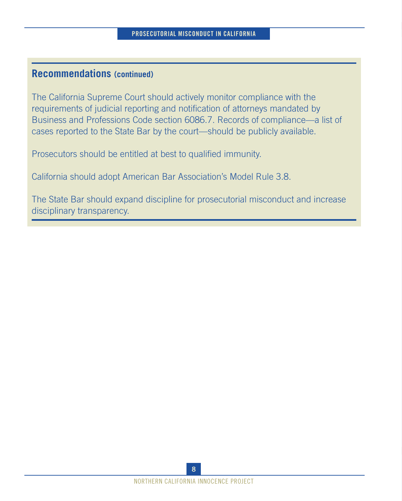# **Recommendations (continued)**

The California Supreme Court should actively monitor compliance with the requirements of judicial reporting and notification of attorneys mandated by Business and Professions Code section 6086.7. Records of compliance—a list of cases reported to the State Bar by the court—should be publicly available.

Prosecutors should be entitled at best to qualified immunity.

California should adopt American Bar Association's Model Rule 3.8.

The State Bar should expand discipline for prosecutorial misconduct and increase disciplinary transparency.